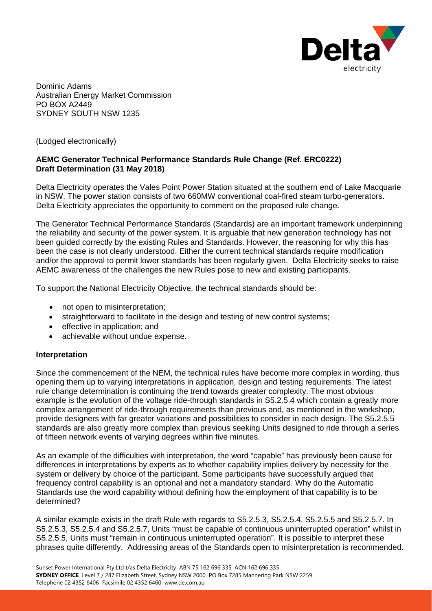

Dominic Adams Australian Energy Market Commission PO BOX A2449 SYDNEY SOUTH NSW 1235

(Lodged electronically)

# **AEMC Generator Technical Performance Standards Rule Change (Ref. ERC0222) Draft Determination (31 May 2018)**

Delta Electricity operates the Vales Point Power Station situated at the southern end of Lake Macquarie in NSW. The power station consists of two 660MW conventional coal-fired steam turbo-generators. Delta Electricity appreciates the opportunity to comment on the proposed rule change.

The Generator Technical Performance Standards (Standards) are an important framework underpinning the reliability and security of the power system. It is arguable that new generation technology has not been guided correctly by the existing Rules and Standards. However, the reasoning for why this has been the case is not clearly understood. Either the current technical standards require modification and/or the approval to permit lower standards has been regularly given. Delta Electricity seeks to raise AEMC awareness of the challenges the new Rules pose to new and existing participants.

To support the National Electricity Objective, the technical standards should be:

- not open to misinterpretation;
- straightforward to facilitate in the design and testing of new control systems;
- effective in application; and
- achievable without undue expense.

### **Interpretation**

Since the commencement of the NEM, the technical rules have become more complex in wording, thus opening them up to varying interpretations in application, design and testing requirements. The latest rule change determination is continuing the trend towards greater complexity. The most obvious example is the evolution of the voltage ride-through standards in S5.2.5.4 which contain a greatly more complex arrangement of ride-through requirements than previous and, as mentioned in the workshop, provide designers with far greater variations and possibilities to consider in each design. The S5.2.5.5 standards are also greatly more complex than previous seeking Units designed to ride through a series of fifteen network events of varying degrees within five minutes.

As an example of the difficulties with interpretation, the word "capable" has previously been cause for differences in interpretations by experts as to whether capability implies delivery by necessity for the system or delivery by choice of the participant. Some participants have successfully argued that frequency control capability is an optional and not a mandatory standard. Why do the Automatic Standards use the word capability without defining how the employment of that capability is to be determined?

A similar example exists in the draft Rule with regards to S5.2.5.3, S5.2.5.4, S5.2.5.5 and S5.2.5.7. In S5.2.5.3, S5.2.5.4 and S5.2.5.7, Units "must be capable of continuous uninterrupted operation" whilst in S5.2.5.5, Units must "remain in continuous uninterrupted operation". It is possible to interpret these phrases quite differently. Addressing areas of the Standards open to misinterpretation is recommended.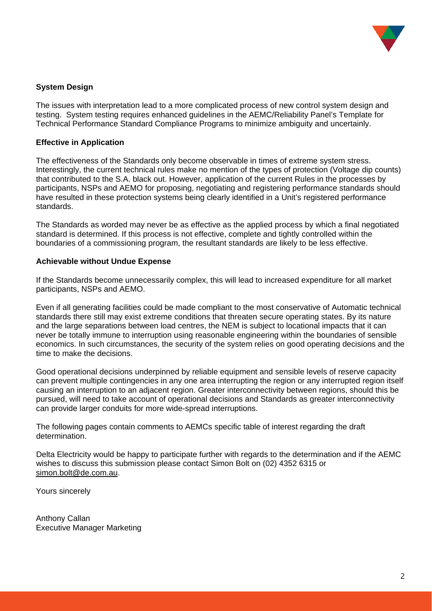

# **System Design**

The issues with interpretation lead to a more complicated process of new control system design and testing. System testing requires enhanced guidelines in the AEMC/Reliability Panel's Template for Technical Performance Standard Compliance Programs to minimize ambiguity and uncertainly.

# **Effective in Application**

The effectiveness of the Standards only become observable in times of extreme system stress. Interestingly, the current technical rules make no mention of the types of protection (Voltage dip counts) that contributed to the S.A. black out. However, application of the current Rules in the processes by participants, NSPs and AEMO for proposing, negotiating and registering performance standards should have resulted in these protection systems being clearly identified in a Unit's registered performance standards.

The Standards as worded may never be as effective as the applied process by which a final negotiated standard is determined. If this process is not effective, complete and tightly controlled within the boundaries of a commissioning program, the resultant standards are likely to be less effective.

### **Achievable without Undue Expense**

If the Standards become unnecessarily complex, this will lead to increased expenditure for all market participants, NSPs and AEMO.

Even if all generating facilities could be made compliant to the most conservative of Automatic technical standards there still may exist extreme conditions that threaten secure operating states. By its nature and the large separations between load centres, the NEM is subject to locational impacts that it can never be totally immune to interruption using reasonable engineering within the boundaries of sensible economics. In such circumstances, the security of the system relies on good operating decisions and the time to make the decisions.

Good operational decisions underpinned by reliable equipment and sensible levels of reserve capacity can prevent multiple contingencies in any one area interrupting the region or any interrupted region itself causing an interruption to an adjacent region. Greater interconnectivity between regions, should this be pursued, will need to take account of operational decisions and Standards as greater interconnectivity can provide larger conduits for more wide-spread interruptions.

The following pages contain comments to AEMCs specific table of interest regarding the draft determination.

Delta Electricity would be happy to participate further with regards to the determination and if the AEMC wishes to discuss this submission please contact Simon Bolt on (02) 4352 6315 or [simon.bolt@de.com.au.](mailto:simon.bolt@de.com.au)

Yours sincerely

Anthony Callan Executive Manager Marketing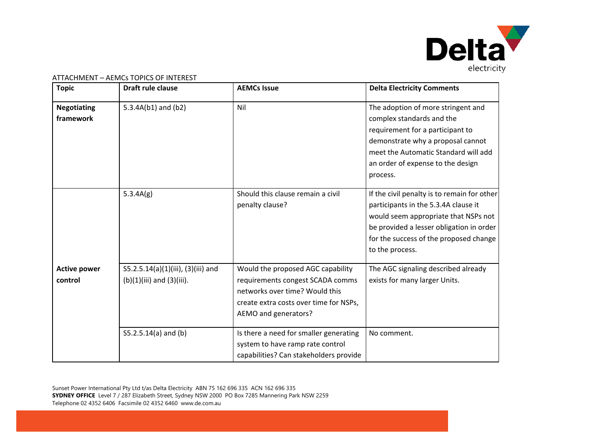

| <b>Topic</b>                    | Draft rule clause                                                    | <b>AEMCs Issue</b>                                                                                                                                                        | <b>Delta Electricity Comments</b>                                                                                                                                                                                                    |
|---------------------------------|----------------------------------------------------------------------|---------------------------------------------------------------------------------------------------------------------------------------------------------------------------|--------------------------------------------------------------------------------------------------------------------------------------------------------------------------------------------------------------------------------------|
| <b>Negotiating</b><br>framework | $5.3.4A(b1)$ and (b2)                                                | Nil                                                                                                                                                                       | The adoption of more stringent and<br>complex standards and the<br>requirement for a participant to<br>demonstrate why a proposal cannot<br>meet the Automatic Standard will add<br>an order of expense to the design<br>process.    |
|                                 | 5.3.4A(g)                                                            | Should this clause remain a civil<br>penalty clause?                                                                                                                      | If the civil penalty is to remain for other<br>participants in the 5.3.4A clause it<br>would seem appropriate that NSPs not<br>be provided a lesser obligation in order<br>for the success of the proposed change<br>to the process. |
| <b>Active power</b><br>control  | S5.2.5.14(a)(1)(iii), (3)(iii) and<br>$(b)(1)(iii)$ and $(3)(iii)$ . | Would the proposed AGC capability<br>requirements congest SCADA comms<br>networks over time? Would this<br>create extra costs over time for NSPs,<br>AEMO and generators? | The AGC signaling described already<br>exists for many larger Units.                                                                                                                                                                 |
|                                 | S5.2.5.14(a) and (b)                                                 | Is there a need for smaller generating<br>system to have ramp rate control<br>capabilities? Can stakeholders provide                                                      | No comment.                                                                                                                                                                                                                          |

ATTACHMENT – AEMCs TOPICS OF INTEREST

Sunset Power International Pty Ltd t/as Delta Electricity ABN 75 162 696 335 ACN 162 696 335 **SYDNEY OFFICE** Level 7 / 287 Elizabeth Street, Sydney NSW 2000 PO Box 7285 Mannering Park NSW 2259 Telephone 02 4352 6406 Facsimile 02 4352 6460 www.de.com.au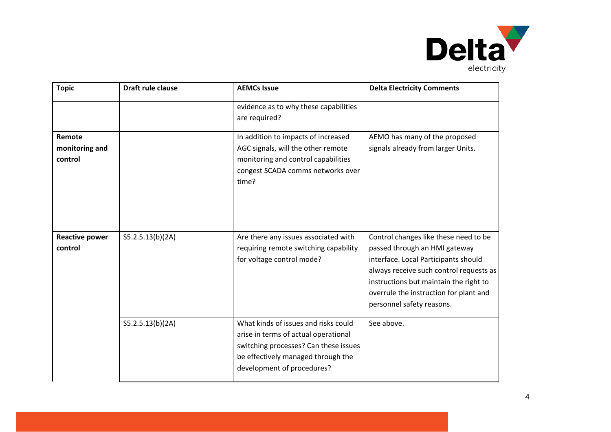

| <b>Topic</b>                        | <b>Draft rule clause</b> | <b>AEMCs Issue</b>                                                                                                                                                                        | <b>Delta Electricity Comments</b>                                                                                                                                                                                                                                          |
|-------------------------------------|--------------------------|-------------------------------------------------------------------------------------------------------------------------------------------------------------------------------------------|----------------------------------------------------------------------------------------------------------------------------------------------------------------------------------------------------------------------------------------------------------------------------|
|                                     |                          | evidence as to why these capabilities<br>are required?                                                                                                                                    |                                                                                                                                                                                                                                                                            |
| Remote<br>monitoring and<br>control |                          | In addition to impacts of increased<br>AGC signals, will the other remote<br>monitoring and control capabilities<br>congest SCADA comms networks over<br>time?                            | AEMO has many of the proposed<br>signals already from larger Units.                                                                                                                                                                                                        |
| <b>Reactive power</b><br>control    | S5.2.5.13(b)(2A)         | Are there any issues associated with<br>requiring remote switching capability<br>for voltage control mode?                                                                                | Control changes like these need to be<br>passed through an HMI gateway<br>interface. Local Participants should<br>always receive such control requests as<br>instructions but maintain the right to<br>overrule the instruction for plant and<br>personnel safety reasons. |
|                                     | S5.2.5.13(b)(2A)         | What kinds of issues and risks could<br>arise in terms of actual operational<br>switching processes? Can these issues<br>be effectively managed through the<br>development of procedures? | See above.                                                                                                                                                                                                                                                                 |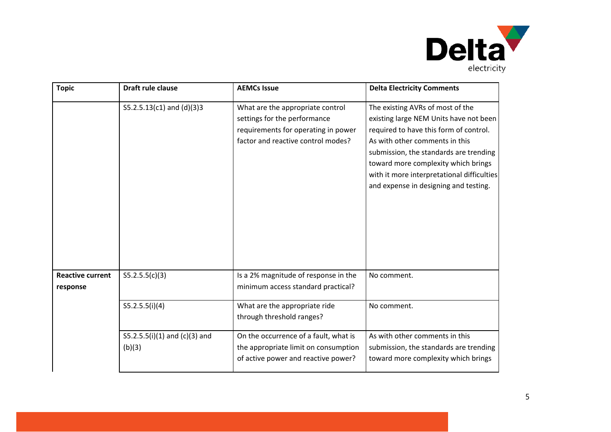

| <b>Topic</b>                        | Draft rule clause                         | <b>AEMCs Issue</b>                                                                                                                            | <b>Delta Electricity Comments</b>                                                                                                                                                                                                                                                                                              |
|-------------------------------------|-------------------------------------------|-----------------------------------------------------------------------------------------------------------------------------------------------|--------------------------------------------------------------------------------------------------------------------------------------------------------------------------------------------------------------------------------------------------------------------------------------------------------------------------------|
|                                     | S5.2.5.13(c1) and (d)(3)3                 | What are the appropriate control<br>settings for the performance<br>requirements for operating in power<br>factor and reactive control modes? | The existing AVRs of most of the<br>existing large NEM Units have not been<br>required to have this form of control.<br>As with other comments in this<br>submission, the standards are trending<br>toward more complexity which brings<br>with it more interpretational difficulties<br>and expense in designing and testing. |
| <b>Reactive current</b><br>response | S5.2.5.5(c)(3)                            | Is a 2% magnitude of response in the<br>minimum access standard practical?                                                                    | No comment.                                                                                                                                                                                                                                                                                                                    |
|                                     | S5.2.5.5(i)(4)                            | What are the appropriate ride<br>through threshold ranges?                                                                                    | No comment.                                                                                                                                                                                                                                                                                                                    |
|                                     | $S5.2.5.5(i)(1)$ and (c)(3) and<br>(b)(3) | On the occurrence of a fault, what is<br>the appropriate limit on consumption<br>of active power and reactive power?                          | As with other comments in this<br>submission, the standards are trending<br>toward more complexity which brings                                                                                                                                                                                                                |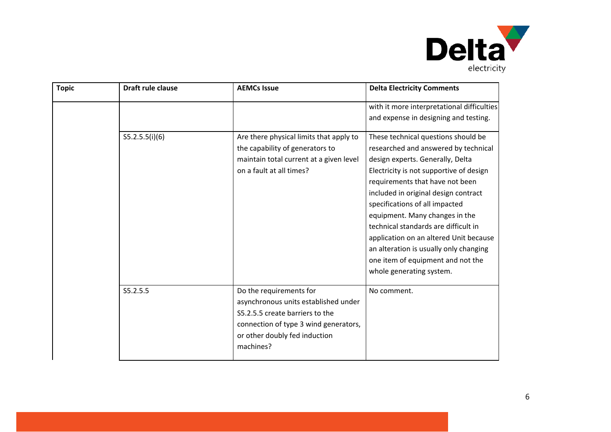

| <b>Topic</b> | Draft rule clause | <b>AEMCs Issue</b>                                                                                                                                                                        | <b>Delta Electricity Comments</b>                                                                                                                                                                                                                                                                                                                                                                                                                                                                      |
|--------------|-------------------|-------------------------------------------------------------------------------------------------------------------------------------------------------------------------------------------|--------------------------------------------------------------------------------------------------------------------------------------------------------------------------------------------------------------------------------------------------------------------------------------------------------------------------------------------------------------------------------------------------------------------------------------------------------------------------------------------------------|
|              |                   |                                                                                                                                                                                           | with it more interpretational difficulties<br>and expense in designing and testing.                                                                                                                                                                                                                                                                                                                                                                                                                    |
|              | S5.2.5.5(i)(6)    | Are there physical limits that apply to<br>the capability of generators to<br>maintain total current at a given level<br>on a fault at all times?                                         | These technical questions should be<br>researched and answered by technical<br>design experts. Generally, Delta<br>Electricity is not supportive of design<br>requirements that have not been<br>included in original design contract<br>specifications of all impacted<br>equipment. Many changes in the<br>technical standards are difficult in<br>application on an altered Unit because<br>an alteration is usually only changing<br>one item of equipment and not the<br>whole generating system. |
|              | S5.2.5.5          | Do the requirements for<br>asynchronous units established under<br>S5.2.5.5 create barriers to the<br>connection of type 3 wind generators,<br>or other doubly fed induction<br>machines? | No comment.                                                                                                                                                                                                                                                                                                                                                                                                                                                                                            |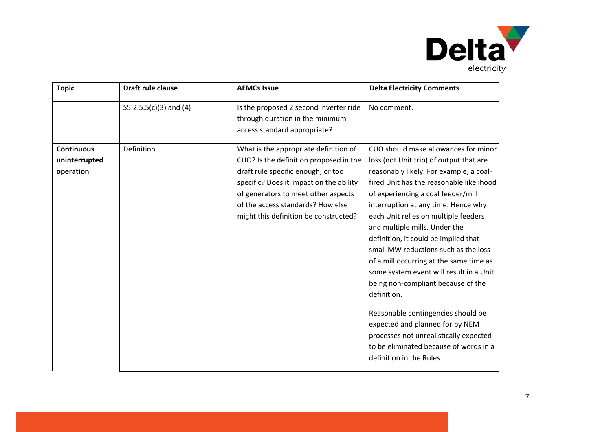

| <b>Topic</b>                                    | Draft rule clause        | <b>AEMCs Issue</b>                                                                                                                                                                                                                                                                    | <b>Delta Electricity Comments</b>                                                                                                                                                                                                                                                                                                                                                                                                                                                                                                                                                                                                                                                                                                                |
|-------------------------------------------------|--------------------------|---------------------------------------------------------------------------------------------------------------------------------------------------------------------------------------------------------------------------------------------------------------------------------------|--------------------------------------------------------------------------------------------------------------------------------------------------------------------------------------------------------------------------------------------------------------------------------------------------------------------------------------------------------------------------------------------------------------------------------------------------------------------------------------------------------------------------------------------------------------------------------------------------------------------------------------------------------------------------------------------------------------------------------------------------|
|                                                 | $S5.2.5.5(c)(3)$ and (4) | Is the proposed 2 second inverter ride<br>through duration in the minimum<br>access standard appropriate?                                                                                                                                                                             | No comment.                                                                                                                                                                                                                                                                                                                                                                                                                                                                                                                                                                                                                                                                                                                                      |
| <b>Continuous</b><br>uninterrupted<br>operation | Definition               | What is the appropriate definition of<br>CUO? Is the definition proposed in the<br>draft rule specific enough, or too<br>specific? Does it impact on the ability<br>of generators to meet other aspects<br>of the access standards? How else<br>might this definition be constructed? | CUO should make allowances for minor<br>loss (not Unit trip) of output that are<br>reasonably likely. For example, a coal-<br>fired Unit has the reasonable likelihood<br>of experiencing a coal feeder/mill<br>interruption at any time. Hence why<br>each Unit relies on multiple feeders<br>and multiple mills. Under the<br>definition, it could be implied that<br>small MW reductions such as the loss<br>of a mill occurring at the same time as<br>some system event will result in a Unit<br>being non-compliant because of the<br>definition.<br>Reasonable contingencies should be<br>expected and planned for by NEM<br>processes not unrealistically expected<br>to be eliminated because of words in a<br>definition in the Rules. |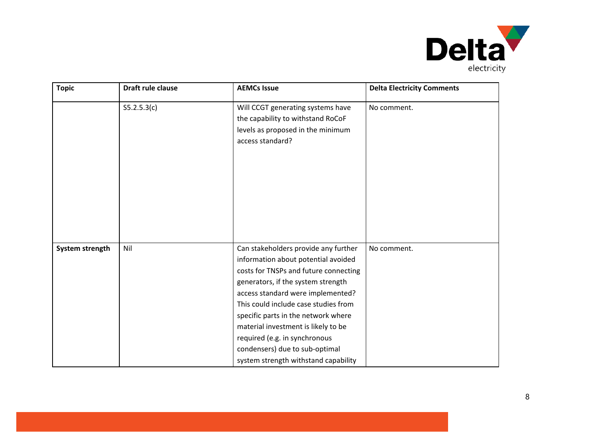

| <b>Topic</b>    | Draft rule clause | <b>AEMCs Issue</b>                                                                                                                                                                                                                                                                                                                                                                                                               | <b>Delta Electricity Comments</b> |
|-----------------|-------------------|----------------------------------------------------------------------------------------------------------------------------------------------------------------------------------------------------------------------------------------------------------------------------------------------------------------------------------------------------------------------------------------------------------------------------------|-----------------------------------|
|                 | S5.2.5.3(c)       | Will CCGT generating systems have<br>the capability to withstand RoCoF<br>levels as proposed in the minimum<br>access standard?                                                                                                                                                                                                                                                                                                  | No comment.                       |
| System strength | Nil               | Can stakeholders provide any further<br>information about potential avoided<br>costs for TNSPs and future connecting<br>generators, if the system strength<br>access standard were implemented?<br>This could include case studies from<br>specific parts in the network where<br>material investment is likely to be<br>required (e.g. in synchronous<br>condensers) due to sub-optimal<br>system strength withstand capability | No comment.                       |